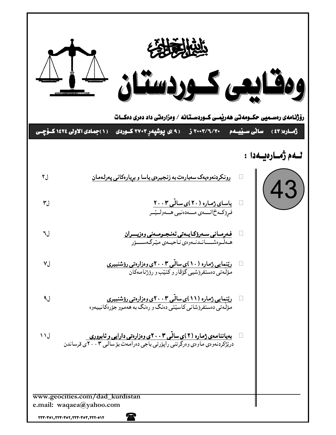|       | رۆژنـامەی رەســمیی حکــومەتی ھەریمــی کــوردســتـانـه / وەزارەتـی داد دەری دەكـــات                                                                                                                                                                                                |                          |
|-------|------------------------------------------------------------------------------------------------------------------------------------------------------------------------------------------------------------------------------------------------------------------------------------|--------------------------|
|       | (۱)جمادی الاولی ۱٤۲٤ کسؤچسی<br>سا <b>ٽ<i>ی س</i>يپمم   ۲۰۰۳/۲۰</b> ۰ ز<br>( ۹ )ی پوشپهر ۲۷۰۳ کـوردی                                                                                                                                                                                | رهاره( ٤٣)               |
|       |                                                                                                                                                                                                                                                                                    | لـــهم ژمـــارەيـــهدا : |
| ل۲    | رونکردنموهیمک سمبارهت به زنجیرهی یاسا و بریارهکانی پهرلهمان                                                                                                                                                                                                                        | 43)                      |
| ل۳    | <mark>یاسای ژماره (۲۰)ی سالّی ۲۰۰۳</mark><br>فرِو٘کهخ نسهی مـهدهنیی هـهولـیّـر                                                                                                                                                                                                     |                          |
| ل٦    | <u>فەرمانى سەرۆكايىەتى ئەنجىومىەنى وەزيىىران</u><br>ھىەلىوەشىسانىدنىەوەي ناحيىەي مێرگەسىسۆر                                                                                                                                                                                        |                          |
| ٧J    | ریتنمایی ژماره (۱۰)ی سالّی ۲۰۰۳ی وهزارهتی روشنبیری<br>مۆلەتى دەستفرۇشيے گۆۋار و كتێپ و رۆژنامەكان                                                                                                                                                                                  |                          |
| ل^    | ریّنمایی ژماره (۱۱)ی سالّی ۲۰۰۳ی وهزارهتی روّشنبیری<br>مۆلەتى دەستفرۇشانى كاسپتى دەنگ و رەنگ بە ھەموو جۆرەكانييەوە                                                                                                                                                                 |                          |
| ل ۱ ۱ | بهیاننامهی ژماره (۲)ی سالی ۲۰۰۳ی وهزارهتی دارایی و ئابووری<br>دریژکردنهوهی ماوهی وهرگرتنی رایوْرتی باجی دهرامهت بوّسالی ۲۰۰۳ ی قرساندن                                                                                                                                             |                          |
|       |                                                                                                                                                                                                                                                                                    |                          |
|       | www.geocities.com/dad_kurdistan<br>e.mail: waqaea@yahoo.com                                                                                                                                                                                                                        |                          |
|       | 'N<br>$\textbf{Y}\textbf{Y}\textbf{Y}\cdot\textbf{Y}\textbf{0}\textbf{1}, \textbf{Y}\textbf{Y}\textbf{Y}\cdot\textbf{Y}\textbf{0}\textbf{Y}, \textbf{Y}\textbf{Y}\textbf{Y}\cdot\textbf{Y}\textbf{0}\textbf{1}, \textbf{Y}\textbf{Y}\textbf{Y}\cdot\textbf{0}\textbf{1}\textbf{Y}$ |                          |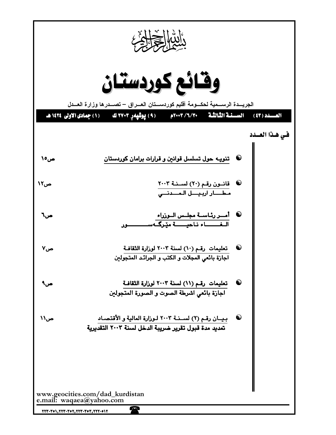| دالتبا المحلوب                                                                             |                                                                                                                                                                                                                                                                                         |                |  |  |  |  |  |  |  |  |
|--------------------------------------------------------------------------------------------|-----------------------------------------------------------------------------------------------------------------------------------------------------------------------------------------------------------------------------------------------------------------------------------------|----------------|--|--|--|--|--|--|--|--|
| وقائع كوردستان<br>الجريسدة الرسسمية لحكسومة أقليم كوردسستان العسراق — تصسدرها وزارة العسدل |                                                                                                                                                                                                                                                                                         |                |  |  |  |  |  |  |  |  |
|                                                                                            | العسدد (٤٣) . السسنة الثَّالثَّة - ٢٧٠٣/٦/٣٠م - (٩) يوشيهرِ ٢٧٠٣ ك - (١) جمادى الأولى ١٤٢٤ هـ                                                                                                                                                                                           | في هذا العــدد |  |  |  |  |  |  |  |  |
| ص٥٥                                                                                        | ©     تنویــه حول تسلسل قوانین و قرارات برامان کوردستان                                                                                                                                                                                                                                 |                |  |  |  |  |  |  |  |  |
| ص۱۲                                                                                        | © قانــون رقـم (٢٠) لســنــة ٢٠٠٣<br>مـطــــــار اربـيــــل الـمـــــدنـــي                                                                                                                                                                                                             |                |  |  |  |  |  |  |  |  |
| ص٦                                                                                         | <sup>©</sup> أ <u>مــر رئـاســة مجلــس</u> الــوزراء<br>الفــــاء ناحيــــة مێرگــهســـــــــور                                                                                                                                                                                         |                |  |  |  |  |  |  |  |  |
| ص∨                                                                                         | $\bf{Q}$<br>تعليمات رقم (١٠) لسنة ٢٠٠٣ لوزارة الثقافة<br>اجازة بائعي المجلات و الكتب و الجرائد المتجولين                                                                                                                                                                                |                |  |  |  |  |  |  |  |  |
| ص۹                                                                                         | $\bullet$<br>تعليمات رقم (١١) لسنة ٢٠٠٣ لوزارة الثقافة<br>اجازة بائعي اشرطة الصوت و الصورة المتجولين                                                                                                                                                                                    |                |  |  |  |  |  |  |  |  |
| ص۱۱                                                                                        | $\bf \bf \Theta$<br>بيان رقم (٢) لســنـة ٢٠٠٣ لـوزارة المالية و الأقتصـاد<br>تمديد مدة قبول تقرير ضريبة الدخل لسنة ٢٠٠٣ التقديرية                                                                                                                                                       |                |  |  |  |  |  |  |  |  |
|                                                                                            |                                                                                                                                                                                                                                                                                         |                |  |  |  |  |  |  |  |  |
|                                                                                            | www.geocities.com/dad_kurdistan<br>e.mail: waqaea@yahoo.com                                                                                                                                                                                                                             |                |  |  |  |  |  |  |  |  |
|                                                                                            | $\bf T$<br>$\textbf{Y}\textbf{Y}\textbf{Y}\cdot\textbf{Y}\textbf{0}\textbf{1}, \textbf{Y}\textbf{Y}\textbf{Y}\cdot\textbf{Y}\textbf{0}\textbf{Y}, \textbf{Y}\textbf{Y}\textbf{Y}\cdot\textbf{Y}\textbf{0}\textbf{1}, \textbf{Y}\textbf{Y}\textbf{Y}\cdot\textbf{0}\textbf{1}\textbf{Y}$ |                |  |  |  |  |  |  |  |  |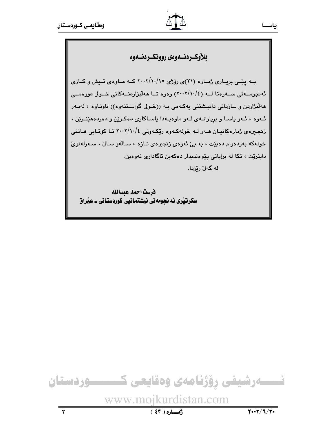

سکرتنری ئه نحومهنی نیشتمانیی کوردستانی ـ عنراق

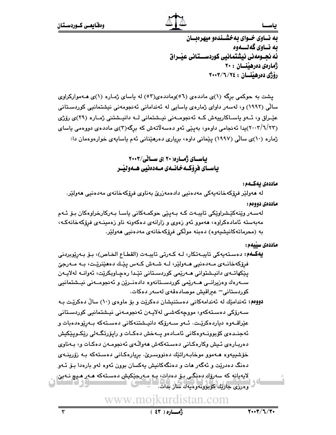به نساوی خسوای به خشسندهو میهرهبسان ىه نــاوي گەنـــەوە ئه نحـومەنى نىشتمانىي كوردســـتانى عنــراق ژمارەي دەرھينسان : ۲۰ رۆژى دەرھينسان : ٢٤/٦/٢٠٠٣

پشت به حوکمی برگه (۱)ی ماددهی (٥٦)وماددهی(٥٢) له پاسای ژماره (۱)ی هـهموارکراوی سالْی (۱۹۹۲) و، لەسەر داوای ژمارەی ياسايی لە ئەندامانی ئەنجومەنی نیشتمانیی کوردسـتانی عٽيراق و، ئيهو پاسياکاريپهش کيه ئهنجوميهني نيسشاني ليه دانپيشتني ژمياره (٢٩)ي رۆژي (۲۰۰۳/٦/۲۳)پدا ئەنجامى داوەو، بەيێى ئەو دەسەلاتەش كە برگە(٣)ى ماددەي دووەمى ياساي ژماره (۱۰)ی سالّی (۱۹۹۷) پێمانی داوه، برِیاری دهرهێنانی ئهم یاسایهی خوارهوهمان دا:

> باسای ژماره ۲۰ )ی سالی/۲۰۰۳ یاســای فرۆکــهخـانــهی مــهدەنیی هــهولیـْــر

> > ماددەى يەكــەم :

لە ھەولێر فرۆكەخانەپەكى مەدەنپى دادەمەزرێ بەناوى فرۆكەخانەي مەدەنپى ھەولێر. ماددەي دووەم :

لەسـەر وێنەكێـشراوێكى تايبـەت كـە بـەيێى حوكمـەكانى ياسـا بـەركارخراوەكان بـۆ ئـەم مەبەستە ئامادەكراوە، ھەموو ئەو زەوى و زارانەى دەكەونە ناو زەمىنــەى فرۆكەخانەكــە، به (محرماتەكانيشىيەوە) دەبنە مولكى فرۆكەخانەي مەدەنيى ھەولێر.

ماددەى سىلمەم :

**يەكــەم:** دەسـتەپەكى تايبـەتكار، لـه كـەرتى تايبـەت (القطـاع الخـاص)، بـۆ بـەرێوبردنى فرۆكەخانــەي مــەدەنيى ھــەولێر، لــە شــەش كــەس پێـك دەھێنرێـت، بــە مــەرجێ يێػهات٤ی دانپـشتوانی هــﻪرێمی کوردسـتانی تێـدا رهچـاوبکرێت، ئەوانــﻪ لەلاپــﻪن ســەرەك وەزيرانــى ھــەرێمى كوردســتانەوە دادەنــرێن و ئەنجومــەنى نيــشتمانيى كوردستانى – عبراقيش موصادەقەی لەسەر دەكات.

**دووه**م: ئەندامێك لە ئەندامەكانى دەستنىشان دەكرێت و بۆ ماوەي (١٠) سالٌ دەكرێت بـە سـەرۆكى دەسـتەكەر، مورچەكەشـى لەلاپـەن ئەنجومـەنى نيـشتمانيى كوردسـتانى عێراقــەوە دياردەكرێـت. ئــەو ســەرۆكە دانيــشتنەكانى دەســتەكە بــەرێوەدەبات و ئەجنــدەی كۆبوونــەوەكانى ئامــادەو پــەخش دەكــات و رايۆرتگــەلى رێكــوپێكيش دەربارەي ئىش وكارەكانى دەستەكەش ھەوالّەي ئەنجومەن دەكات و، بەناوي خۆشىيەوە ھـﻪموو موخابـﻪراتێك دەنووسىرێ. بريارەكـانى دەسـتەكە بـﻪ زۆرينـﻪي دهنگ دهدريت و ئهگەر هات و دەنگەكانيش يەكسان بوون ئەوە لەو بارەدا بىۆ ئـەو لايەيانە كە سەرۆك ئەنگى بۆ دەدات؛ يە مەرج<u>ى</u>كيش دەستەكە ھـەر ھـي<del>ى</del> نـەبىّ - وهرزي حاربك كۆپوونەو ەبەك ساز بدات.

www.moikurdistan.com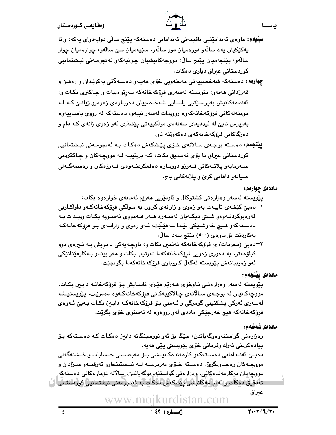**سِپْیهم:** ماوهی ئەندامێتیی باقیمەنی ئەندامانی دەستەکە پێنج سالّی دوابەدوای پەکە، واتا پهکێکپان پهك سالهو دووهميان دوو سالهو، سێپهميان سێ سالهو، چوارهميان چوار سالهو، پێنجەميان پێنج سالْ، مووچەکانیشیان چـونیەکەو ئەنجومـەنى نیـشتمانیی کوردستانی عبراق دیاری دهکات.

چوارهم: دهستهکه شهخصبيهتي مهعنهويي خۆی ههيـهو دهسـهلاتي بهکريدان و رهفـن و قەرزدانى ھەيەو، يێويستە لەسەرى فرۆكەخانەكە بـەرێوەببات و چـاكترى بكـات و، ئەندامەكانيش بەيرسىێتيى ياسـايى شەخـصىييان دەربـارەى زەرەرو زيانـێ كـە لـە مومتەلەكاتى فرۆكەخانەكەوە رووبدات لەسەر نيپەو، دەستەكە لە رووى ياسـاييەوە بەرپرس نابیؒ له ئیددیعای سەنەدی مولکییەتی پی٘شتری ئەو زەوی زانەی کـه دام و دەزگاكانى فرۆكەخانەكەي دەكەوپتە ناو.

**پيٽنچهم:** دەستە بوجەي سالانەي خۆي پێشكەش دەكات بـە ئەنجومـەنى نيـشتمانيى کوردستانی عیراق تا بۆی تەسدیق بکات، کـه بریتییـه لـه مووچـهکان و چـاککردنی ســەرمايەو يلانــەكانى قــەرزو دووبــارە دەفعكردنــەوەي قــەرزەكان و رەسمەگــەلى صيانهو داهاتي کريّ و پلانهکاني باج.

ماددهی چوارهم:

يٽويسٽه لەسەر وەزارەتى كشتوكالٌ و ئاودێريى ھەرێم ئەمانەي خوارەوە بكات: ۱–دهبیّ کَیْشَهی تایبهت بهو زهوی و زارانهی کراون به مـولّکی فرِوْکهخانهکـهو داواکـاریی قەرەبوكردنـەوەو شـىتى ديكـەيان لەسـەرە ھـەر ھـەمووى تەسـويە بكـات وييـدات بـە دەسـتەكەو ھـيې خەوشـێكى تێـدا نـﻪھێڵێت، ئـﻪو زەوى و زارانـﻪى بـۆ فرۆكەخانەكـﻪ بەكاردێت بۆ ماوەي (٥٠٠) پێنج سەد ساڵ.

۲–دهبیؒ (محرمات) ی فرۆکەخانەکە تەئمین بکات و، ناوچـەپەکی دابـریش بـه تـیرەی دوو کیلۆمەتر، بە دەورى زەويى فرۆکەخانەکەدا تەرتىب بکات و ھەر بېنــاو بــەکارھێنانێکى ئەو زەوييانەش يۆريستە لەگەلّ كاروبارى فرۆكەخانەكەدا بگونجێت.

ماددەى ييْنجەم:

يێويسته لەسەر وەزارەتى نـاوخۆى ھـەرێم ھێـزى ئاسـايش بـۆ فرۆكەخانـە دابـين بكـات. مووچەكانيان لە بوجەي سالانەي چالاكييەكانى فرۆكەخانەكـەوە دەدرێت، يێويستيشە لەسەرى ئەركى پشكنينى گومرگى و ئـەمنى بـۆ فرۆكەخانەكـە دابـين بكـات بـەبىّ ئـەوەى فرۆكەخانەكە ھىچ خەرجێكى ماددى لەو رووەوە لە ئەستۆى خۆى بگرێت.

## ماددەى شەشەم :

وەزارەتى گواستنەوەوگەياندن، جێگا بۆ ئەو نووسىنگانە دابىن دەكـات كـە دەسـتەكە بـۆ پيادەكردنى ئەرك وفرمانى خۆي پێويستى پێى ھەيە٠

دەبـێ ئەنـﺪامانى دەسـﺘﻪﻛﻪﺭ ﻛﺎﺭﻣﻪﻧﺪەﻛﺎﻧﭙـﺸﻰ ﺑـﯚ ﻣﻪﺑﻪﺳﯩﺘﻰ ﺣـﺴﺎﺑﺎﺕ ﺭ ﺧـﺸﺘﻪﮔﻪﻟﻰ مووچـﻪﮐﺎﻥ ﺭﻩﭼـﺎﻭﺑﮕﺮﺉ. ﺩﻩﺳـﺘﻪ ﺧـﯚﯼ ﺑﻪﺭﭘﺮﺳـﻪ ﻟـﻪ ﺋﭙـﺴﺘﭙﺌﺠﺎﺭﻭ ﺗﻪﺭﻗﭙـﻪﻭ ﺳـﺰﺍﺩﺍﻥ ﻭ مووچەپان بەكارمەندەكانى. وەزارەتى گواستنەوەوگەياندن، سالانە تۆمارەكانى دەستەكە تەدقىق دەكات رائەئجامەكانىشى يېشكەش دەكات بە ئەنجومەنى نىشتمانىي كوردستانى ( ) عبراق.

www.moikurdistan.com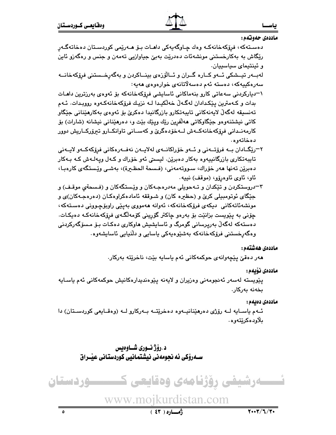## $\overline{a}$  -  $\overline{a}$  -  $\overline{a}$  -  $\overline{a}$  -  $\overline{a}$  -  $\overline{a}$  -  $\overline{a}$  -  $\overline{a}$  -  $\overline{a}$  -  $\overline{a}$  -  $\overline{a}$  -  $\overline{a}$  -  $\overline{a}$  -  $\overline{a}$  -  $\overline{a}$  -  $\overline{a}$  -  $\overline{a}$  -  $\overline{a}$  -  $\overline{a}$  -  $\overline{a}$  -

-

ماددەي حەوتەم:

دەستەكە، فرۆكەخانەكـە وەك چـاوگەيەكى داھـات بـۆ ھـەرێمى كوردسىتان دەخاتەگـەرِ رێگاش به بهکارخستنی مونشهئات دهدرێت بهبیّ جیاوازیی تهمهن و جنس و رهگهزو ئاین و ئينتيماي سياسييان.

لەببەر تيــشكى ئــەو كــارە گــران و ئــالۆزەي بينــاكردن و بەگەرخــستنى فرۆكەخانــە سەرەكييەكە، دەستە ئەم دەسەلاتانەى خوارەوەى ھەيە:

۱–دیارکردنی سهعاتی کارو بنهماکانی ئاسایشی فرِۆکەخانەکە بۆ ئەوەی بەرزترین داھـات بدات و كـهمترين پێكدادان لهگـهڵ خهڵكيـدا لـه نزيـك فرۆكهخانهكـهوه رووبـدات. ئـهم تەنسىقە لەگەلْ لايەنەكانى تايبەتكارو بازرگانيدا دەكرىْ بۆ ئەوەي بەكارمێنانى جێگاو کاتی نیشتنهوهو جێگاوکاتی ههڵفرِین رێك وپێك بێت و، دهرهێنانی نیشانه (شارات) بۆ كارمەنــدانى فرِۆكەخانەكــەش لــەخۆدەگرىّ و كەســانى تاوانكــارو تېرۆركــاريش دوور دەخاتەو ە

- ۲–رێگــادان بــه فرۆتــەنى و ئــهو خۆراكانــهى لەلايــەن نەفــەرەكانى فرۆكەكــەو لايــەنى تايبەتكارى بازرگانييەوە بەكار دەبرێن. ليستى ئەو خۆراك و كـەل وپەلـەش كـە بـەكار دەبرێن تەنھا ھەر خۆراك، سىووتەمەنى، (فىسحة الحظـيرة)، بەشـى وێـستگەى كارەبـا، ئاو، ئاوي ئاوەرۆو، (موقف) نېيە.
- ۳–دروستکردن و تێکدان و تـﻪحویلی مهدرهجـﻪکان و وێـستگهکان و (فـسحةیِ موقـف) و جنگای ئوتومبیلی کریٌ و (حظیره کان) و شوققه ئامادهکراوهکان (دهرهجهکان)ی و مونشەئاتەكانى دىيكەي فرۆكەخانەكە، ئەوانە ھەمووى بەپێى راوبۆچـوونى دەسـتەكە، چۆنى بە پێويست بزانێت بۆ بەرەو چاكتر گۆرپنى كۆمەلگەى فرۆكەخانەكـە دەيكـات. دەستەكە لەگەڵ بەرپرسانى گومرگ و ئاسايشيش ھاوكارى دەكـات بـۆ مـسۆگەركردنى وەگەرپخستنى فرۆكەخانەكە بەشێوەپەكى ياسايى و دڵنيايى ئاسايشەوە

## ماددەى ھەشتەم:

مەر دەقىّ پێچەوانە*ى* حوكمەكانى ئەم ياسايە بێت، ناخرێتە بەركار.

## ماددەى نۆىمە:

پێویسته لهسهر ئهنجومەنی وەزیران و لایەنە پێوەندیدارەکانیش حوکمەکانی ئەم یاسـایە بخەنە بەركار.

## ماددەى دەبەم :

ئـهم ياسـايه لـه رۆژى دەرهێنانيــهوه دەخرێتــه بــهركارو لــه (وەقــايعى كوردسـتان) دا بلاّود ەكرێتەوە .

د . رۆژ نــورى شــاوەيس 3&-1,)
,-.,/0:- $\mathbf{u}$ 

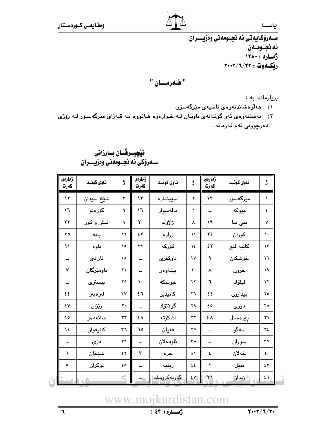سـهرۆكايەتى ئە نجـومەنى وەزيـــران ئه نجـومـهن أثماره: ١٢٨٠ ريكموت : ٢٢/٦/٢٢

"فهرمان "

بريارماندا به:

- ۱) هەلوەشاندنەوەي ناحيەي مێرگەسۆر.
- ۲) بهستنهوهی ئهو گوندانهی ناویان لـه خـوارهوه هـاتووه بـه قـهزای مێرگهسـۆر لـه رۆژی دەرچوونى ئەم فەرمانە٠

| ژمارەي<br>كەرت         | ناوی گونــد | ڗ          | ژمارەي<br>كەرت | ناوی گونــد | ڗ             | ژمارەي<br>كەرت | ناوي گونــد  | ڗ                      |
|------------------------|-------------|------------|----------------|-------------|---------------|----------------|--------------|------------------------|
| $\mathcal{N}$          | شێڂ سيدان   | ٣          | $\mathcal{N}$  | اسپينداره   | ۲             | ۱۳             | مێرگەسور     | ١                      |
| ۱٦                     | گۆرەنو      | ٦          | ۱٦             | مالەسوار    | ٥             |                | ميوكه        | ٤                      |
| $\mathsf{r}\mathsf{r}$ | ئيش وكور    | ٩          | ٢٠             | ڑاڑۆك       | ۸             | ١٩             | بنى بيا      | $\mathsf{v}$           |
| ٢٥                     | بانه        | $\lambda$  | ٤٣             | زراره       | $\mathcal{N}$ | ٢٤             | كوران        | ١.                     |
| $\mathcal{U}$          | باوه        | ۰۱         | ۲۲             | كۆركە       | ١٤            | ٤٢             | كانيه لنج    | $\lambda$              |
|                        | ئازادى      | ١٨         |                | ناوكفرى     | ١٧            | ٩              | خۆشكان       | ۱٦                     |
| $\checkmark$           | ناومێرگان   | ۲١         |                | پێداوەر     | ٢.            | ٨              | خرون         | ١٩                     |
|                        | بيسترى      | ٢٤         | $\mathcal{L}$  | جوسكه       | ۲۲            | ٦              | ليلۆك        | ۲۲                     |
| ٤٤                     | ليرەبير     | ٢٧         | ٤٦             | كانيديّر    | ٢٦            | ٤٤             | بيدارون      | ٢٥                     |
| ٤٧                     | رێزان       | ٣.         |                | گولانۆك     | ۲۹            | ه ع            | دوری         | ٢٨                     |
| ه ۱                    | شانەدەر     | $\tau\tau$ | ٤٩             | اشكرته      | ٣٢            | ٤٨             | ييرەسال      | ٣١                     |
| ١٤                     | كانيەوان    | ٣٦         | ٦٥             | فقيان       | ٣٥            |                | سەگو         | ٣٤                     |
|                        | دزی         | ٣٩         |                | ئاودەلان    | ٣٨            | $\equiv$       | سوران        | $\mathsf{r}\mathsf{v}$ |
| ١                      | شێڂان       | ٤٢         | ٣              | خره         | ٤١            | ٤              | خەلان        | ٤٠                     |
| ٥                      | بوكران      | ه ٤        |                | زينيه       | ٤٤            | ۲              | ببێل         | ٤٣                     |
|                        |             |            | ٦.             | ِگۆربەكروسك | $E$ $V$       | $\mathcal{N}$  | ش زیدان<br>م | ٤٦                     |

# نیْچِیــرڤــان بــارزانی سـەرۆكى ئە نجـومەنى وەزيــــران

www.mojkurdistan.com

رُّهِـــاره ( ٤٣ )

 $\overline{r}$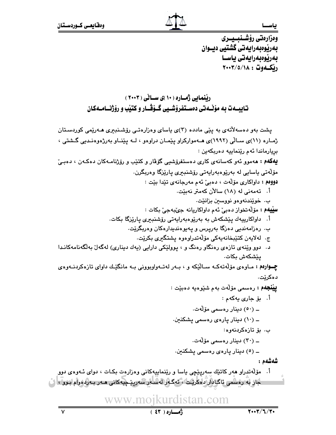وەزارەتى رۆشــنبــيـــرى بەرپوەبەرايەتى گشتيى ديــوان بەرێوەبەرايەتى ياسـا رێؚڲڡۅت : ٢٠٠٣/٥/١٨

ریْنمایی ژَمــاره ( ۱۰ )ی ســانی ( ۲۰۰۳ ) تاييـــه ت به مۆٽـــه تى دەســتفرۆشــيى گــۆقـــار و كتێب و رۆژنـــامــەكـان

- 
- - 3"
:(%
,!u 239 %(%2g
Qwww.mojkurdistan.com پشت بهو دهسهلأتهي به پێي مادده (۳)ي ياساي وهزارهتـي رۆشـنبيري هــهرێمي كوردسـتان ژمـاره (۱۱)ی سـالّی (۱۹۹۲)ی هــهموارکراو پێمـان دراوهو ، لــه پێنــاو بهرژهوهنـدیی گـشتی ، برِيارماندا ئەم رێنماييە دەربكەين : **پهکهم : م**هموو ئهو کهسانهی کاری دهستفروشیی گوفار و کتێب و روژنامـهکان دهکـهن ، دهبـیّ مۆلەتى ياسايى لە بەريوەبەرايەتى رۆشنبېرى پاريزگا وەربگرن. دووهم : داواكارى مۆلّەت ، دەبى ّ ئەم مەرجانەي تێدا بێت : أ. تەمەنى لە (١٨) سالآن كەمتر نەيتت. ب. خوێندنەوەو نووسىين بزانێت. **سێیهم :** مۆڵەتخواز دەبیٚ ئەم داواکاریانە جى*ٚب*ەجى*ٰ ب*کات : ..<br>أ. داواكارىييەك پێشكەش بە بەرێوەبەراپەتى رۆشنبىرى پارێزگا بكات. < 9 ]
1(; ;!" S
20% ;!(0 < .<br>ج. لهلایهن کتێبخانهیهکی مۆلّهتدراوهوه پشتگیری بکرێت. ب سیست مسیست کوری در دستگاه ره دیگر و به سوست مسیست مسیست مسیست مسیست مسیست مسیست مسیست مسیست مسیست مسیست مسیس<br>د. دوو ویینه ی تازه ی رهنگاو رهنگ و ، پوولیچی دارایی (به ك دیناری) له گه ل به لگه نامه كانـدا يێشكەش بكات. چوارهم : مـاوهى مۆلّەتەكــه ســاليّكه و ، بــهر لـهتــهواوبوونى بــه مانگيّـك داواى تازەكردنــهوهى د ەكرێت. **پِيْنْجُهُمْ :** رەسمى مۆلّەت بەم شَيْوەيە دەبێت : أ. بۆ جارى يەكەم : ــ (٥٠) دينار رەسمى مۆلەت. ــ (۱۰) دینار پاره $_{\mathcal{S}}$  رهسمی پشکنین. ب. بۆ تازەكرىنەوھ: ــ (۳۰) دینار رەسمى مۆلّەت. ــ (٥) دینار پارەى رەسمى پشكنين. شەشەھ : .<br>أ. مۆلەتدراو ھەر كاتێك سەرپێچى ياسا و رێنماييەكانى وەزارەت بكـات ، دواي ئــەوەي دوو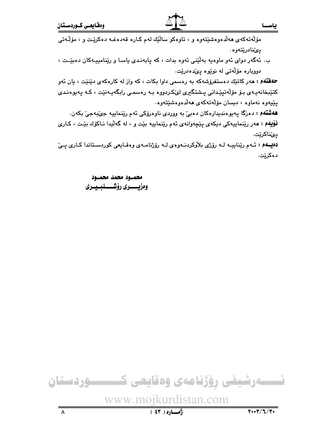مۆلەتەكەي ھەلدەوەشێتەوە و ، تاوەكو سالێك لەم كـارە قەدەغـە دەكرێت و ، مۆلـەتى يىنادريتەوە.

ب. ئەگەر دواى ئەو ماوەيە بەلّينى ئەوە بدات ، كە پابەنىدى ياسا و رينامىيـەكان دەبيّـت ، دووياره مۆلەتى لە نويوە يىدەدريت.

حهفتهم : مهر کاتێك دهستفرۆشهكه به رهسمي داوا بكات ، كه واز له كارهكهى دێنێت ، يان ئهو کتێبخانەپـەی بـۆ مۆڵەتپێدانى پـشتگیرى لىٚكـردووە بـە رەسمـى رابگەپـەنێت ، كـە پەيوەنـدى يێيەوە نەماوە ، ديسان مۆلەتەكە*ى* ھەلدەوەشىنتەوە.

ههشتهم : دهزگا پهيوهنديدارهکان دهبيّ به ووردي ناوهرۆکي ئهم رێنماييه جيٌبهجيّ بکهن. **نۆيهم : م**ەر رێنماييەكى دىكەي پێچەوانەي ئەم رێنماييە بێت و ، لە گەڵيدا نـاكۆك بێت ، كـارى يئناكرێت.

دهیمهم : ئـهم ریناییـه لـه رۆژی بلاوکردنـهوهى لـه رۆژنامـهى وهقـايعى كوردسـتاندا كـارى يــىّ دەكرێت.

> محمسود محمد محمسود وەزيــــــــرى رۆشـــــــنبــيـــرى

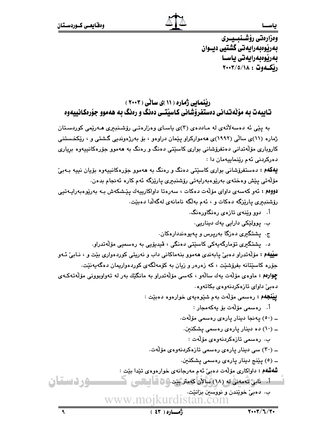وەزارەتى رۆشــنبــيـــرى بەرپوەبەرايەتى گشتيى ديــوان بەرێوەبەرايەتى ياسـا رێؚڲڡۅت : ٢٠٠٣/٥/١٨

# رننمایی ژماره ( ۱۱ )ی سانی ( ۲۰۰۳ ) تـاییهت به مۆلەتدانى دەستفرۆشانى كـاسیتــى دەنگ و رەنگ بـه هەموو جۆرەكـانييەوە

به پێی ئه دهسهلأتهی له مـاددهی (۳)ی یاسـای وهزارهتـی رۆشـنبیری هــهریمی کوردسـتان ژماره (۱۱)ی سالّی (۱۹۹۲)ی ههموارکراو پِیّمان دراوهو ، بوّ بهرژهوندیی گشتی و ، ریّکخستنی کاروباری مۆلّەتدانى دەتفرۆشانى بوارى کاسێتى دەنگ و رەنگ بە ھەموو جۆرەکانىييەوە بږيارى دەركردنى ئەم رێنماييەمان دا :

**یهکهم :** دهستفرۆشانی بواری کاسێتی دهنگ و رهنگ به ههموو جۆرهکانیییهوه بۆیان نییه بـهبیّ مۆلەتى پێش وەختەى بەرێوەبەرايەتى رۆشنبىرى پارێزگە ئەم كارە ئەنجام بدەن. <mark>دووم</mark> : ئەو كەسەى داواى مۆلّەت دەكات ، سەرەتا داواكارىيەك پێشكەش بـە بەرێوەبەرايـەتيى رۆشنبيرى پارێزگە دەكات و ، ئەم بەلگە نامانەى لەگەلدا دەبێت.

- اً. دوو وینه ی تازه ی رهنگاورهنگ
	- ب. پوولێکی دارایی یهك دیناریی.
- ج. پشتگیری دەزگا بەرپرس و پەيوەنددارەكان.

د. پشتگیری تۆمارگەيەكى كاسێتى دەنگى ، ڤيديۆيى بە رەسميى مۆڵەتدراو. **سیّیهم :** مۆلّەتدراو دەبیّ پابەندی ھەموو بنەماکانی داب و نەریتی کوردەواری بیّت و ، نـابیّ ئـەو جۆره كاسێتانه بفرۆشێت ، كه زەرەر و زيان به كۆمەلگەى كوردەواريمان دەگەپەنێت. چ**ِوارەم :** ماوەی مۆلّەت يەك سالّەو ، كەسى مۆلّەتدراو بە مانگێك بەر لە تەواوبوونى مۆلّەتـەكـەی دهبی داوای تازهکردنهوهی بکاتهوه.

**پینجهم :** رەسمى مۆلّەت بەم شێوەپەى خوارەوە دەبێت :

.<br>أ. رەسمى مۆلّەت بۆ يەكەمجار : ــ (٥٠) پەنجا دىنار پارە*ى* رەسمى مۆلەت.

ــ (۱۰) ده دینار پاره $_{\mathcal{S}}$  رهسمی پشکنین.

ب. رەسمى تازەكردنەوە*ى* مۆلەت :

ــ (۳۰) سی دینار پارهی رهسمی تازهکردنهوهی مۆلّەت.

ــ (٥) پێنج دینار پاره $_{\odot}$  رەسمى پشكنین.

**شُهشُهم :** داواکاری مۆلّەت دەبیّ ئەم مەرجانەی خوارەوەی تێدا بێت :

- <u>ئست. نابئ تُعميني له (٧٨) مُ</u>تَالِاً: كِعماء بَيْد و26 قَالِيكسي www.mojkurdistan.com ب. دەبىئ خويْندن و نووسىين بزانىيت.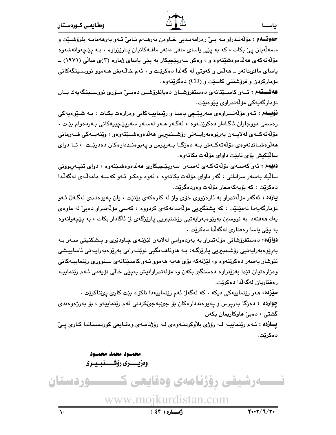**ههشــتهم :** ئــهو كاســێتانهى دەستفرۆشــان دەيانفرۆشــن دەبــێ مــۆرى نووســينگەيەك يــان تۆمارگەيەكى مۆڵەتدرا*وى* پێوەبێت.

**نۆيــهم :** ئــهو مۆلّەتـدراوەى سەرپێچى ياسـا و رێنماييــەكانى وەزارەت بكـات ، بــە شــێوەيەكى رەسمى دووجاران ئاگـادار دەكرێتـەوە ، ئەگـەر ھـەر لەسـەر سەرپێـچییەكانى بـەردەوام بێـت ، مۆلەتەكــەي لەلايــەن بەرێوەبەرايــەتى رۆشــنبىريى ھەلْدەوەشــێتەوەو ، وێنەيــەكى فــەرمانى هەلوەشـاندنەوەي مۆلەتەكــەش بــە دەزگــا بــەرپرس و پـەيوەنــددارەكان دەدريـْت ، تــا دواي سالٽِکيش بۆي نابێت داواي مۆلّەت بكاتەوە.

<mark>دەيەم :</mark> ئەو كەسـەى مۆلەتەكـەى لەسـەر سەريێچيكارى ھەلدەوەشىێتەوە ، دواى تێپـەربوونى ساليك بەسەر سزادانى ، گەر داواي مۆلەت بكاتەوە ، ئەوە وەكـو ئـەو كەسـە مامەلّـەي لەگەلّـدا دەكرێت ، كە بۆيەكەمجار مۆلەت وەردەگرێت.

**يازده :** ئەگەر مۆلەتدراو بە ئارەزووى خۆى واز لە كارەكەى بێنێت ، يان پەيوەندى لەگەل ّئەو تۆمارگەيەدا نەمێنێت ، كە پشتگیریى مۆڵەتدانەكەي كردووە ، كەسى مۆڵەتدراو دەبىٚ لە ماوەي يەك ھەڧتەدا بە نووسىن بەرێوەبەرايەتيى رۆشنبىريى پارێزگەى لىْ ئاگادار بكات ، بە پێچەوانەوە به پێ*ی* یاسا رەفتار*ی* لەگەلّدا دەكرێت .

دوازده: دهستفرۆشانی مۆلّەتدراو بە بەردەوامی لەلايەن لێژنــەی چـاودێری و پـشكنينی سـەر بـه بەرِيْوەبەرايەتيى رۆشىنبىريى پارێزگە، بـە ھاوئاھـەنگيى نوێنـەرانى بەرێوەبەرايـەتى ئاساييىشى نێوشار بهسهر دهکرێِنهوه و، لێڗٝنهکه بۆی هەپە هەموو ئـهو کاسێتانەی سـنووری رێنماییـهکانی وهزارهتيان تێدا بەزێنراوه دەستگیر بکەن و، مۆلەتدراوانیش بەپێى خاڵى نۆيەمى ئـﻪم رێنماييـﻪ رەفتاريان لەگەلّدا دەكرێِت.

**سێزده: م**ەر رێنماييەكى دىكە ، كە لەگەلّ ئەم رێنماييەدا ناكۆك بێت كارى پێناكرێت . چ**وارده :** دهزگا بهرپرس و پهیوهنددارهکان بۆ جێنبهجێکردنی ئهم رێنماییهو ، بۆ بەرژەوەندی گشتی ، دەبى ھاوكارىمان بكەن.

يازده : ئهم ريْنماييـه لـه رۆژى بلاوكردنـهوهى لـه رۆژنامـهى وهقـايعى كوردسـتاندا كـارى پـى د ەكرێت.

> محمـود محمد محمـود وەزيـــــــرى رۆشـــــــنبـــيـــرى

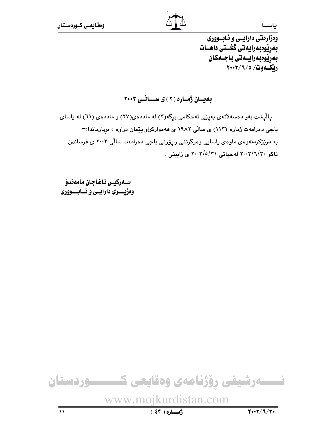وهزارهتي دارايسي و ئـابــووري بەرپوەبەرابەتى گشىتى داھــات بەرێوەبەراپىەتى باجىەكان رنڭموت/ ٢٠٠٣/٦/٥

به بان ژماره (٢) ی سائس ٢٠٠٣

پالْپشت بهو دهسهلاٌتهی بهپێی ئهحکامی برگه(۳) له ماددهی(۲۷) و ماددهی (٦۱) له یاسای باجي دهرامهت ژماره (١١٣) ي سالّي ١٩٨٢ ي ههمواركراو پيّمان دراوه ، بريارماندا:-به درێژکردنهوهی ماوهی پاسایی وهرگرتنی رایۆرتی باجی دهرامهت سالی ۲۰۰۳ ی قرساندن تاکو ۲۰۰۲/۱/۲۰ لهجیاتی ۲۰۰۲/۰/۲۱ ی زایینی .

ســەركيس ئـاغـاجـان مـامەندۆ وهزيسسري دارايسي و ئسابسسووري

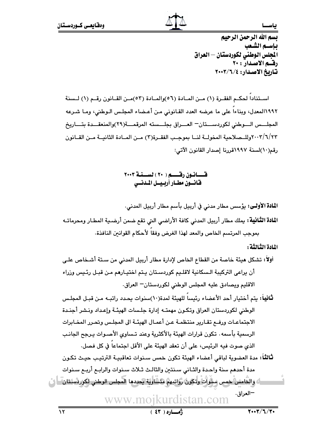بسم الله الرحمن الرحيم باسيم الشعب الجلس الوطني لكوردستان — العراق رقسم الاصدار : ۲۰ تاريخ الاصدار: ٢٠٠٣/٦/٤

اسـتناداً لحكـم الفقـرة (١) مـن المـادة (٥٦)والمـادة (٥٣)مـن القـانون رقـم (١) لـسنة ١٩٩٢المعدل، ويناءا على ما عرضه العدد القانوني من أعضاء المجلس الـوطني، ومـا شـرعه المجلسس السوطني لكوردسستان— العسراق بجلسسته المرقمسة(٢٩)والمنعقسدة بتساريخ ٢٠٠٣/٦/٢٣وللــصلاحية المخولــة لنــا بموجـب الفقــرة(٣) مــن المــادة الثانيــة مــن القــانون رقم(١٠)لسنة ١٩٩٧قررنا إصدار القانون الآتي:

> قــــانــون رقــــــــــــم ( ٢٠ ) لســــنـــة ٢٠٠٣ فانسون مطيار أربيسل المدنسي

ا**لْبَادَةَ الأَوْلَى:** يؤْسِس مطار مدني في أربيل بأسم مطار أربيل المدني.

ا**لمادة الثّانية:** يملك مطار أربيل المدني كافة الأراضي التي تقع ضمن أرضـية المطـار ومحرماتـه بموجب المرتسم الخاص والمعد لهذا الغرض وفقاً لأحكام القوانين النافذة.

المادة الثالثة :

أولاً: تشكل مبنَّة خاصة من القطاع الخاص لإدارة مطار أربيل المدني من سـتة أشـخاص علـي أن يراعى التركيبة الـسكانية لاقلـيم كوردسـتان يـتم اختيـارهم مـن قبـل رئـيس وزراء الاقليم ويصادق عليه المجلس الوطني لكوردستان— العراق.

**ثانياً:** يتم أختيار أحد الأعضاء رئيساً للهيئة لمدة(١٠)سنوات يحدد راتبـه مـن قبـل المجلـس الوطني لكوردستان العراق وتكون مهمته إدارة جلسات الهيئـة وإعداد ونـشر أجنـدة الاجتماعـات ورفــع تقـارير منتظمــة عـن أعمـال الهيئــة الى المجلـس وتحـرر المخـابرات الرسمية بأسمه . تكون قرارات الهيئة بالأكثرية وعند تـساوى الأصـوات يـرجح الجانـب الذي صوت فيه الرئيس، على أن تعقد الهيئة على الأقل اجتماعاً في كل فصل.

ثالثاً: مدة العضوية لباقي أعضاء الهيئة تكون خمس سـنوات تعاقبيـة الترتيـب حيـث تكـون مدة أحدهم سنة واحدة والثـاني سـنتـن والثالـث ثـلاث سـنوات والرابـم أريـم سـنوات

نُّ وَالْخَامِسُ خِمِسٍ سِنْوَاتٍ وَتَكُونُ رَوَاتِبِهِمْ مَثَسَّاوِيَة كِحدِدِها الْمجلس الوطني لِكوردسلتان ۖ ا –العراق. www.moikurdistan.com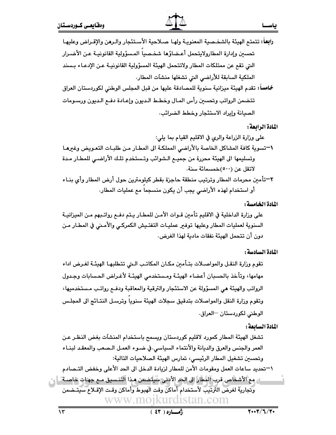- رابعاً: تتمتع الهيئة بالشخـصية المعنويـة ولهـا صـلاحية الأسـتئجار والـرهن والإقـراض وعليهـا تحسين وإدارة المطارولايتحمل أعـضاؤها شخـصياً المـسؤولية القانونيـة عـن الأضـرار التي تقع عن ممتلكات المطار ولاتتحمل الهيئة المسؤولية القانونيـة عـن الإدعـاء بـسند الملكية السابقة للأراضي التي تشغلها منشآت المطار.
- خامساً: تقدم الهيئة ميزانية سنوية للمصادقة عليها من قبل المجلس الوطني لكوردستان العراق تتضمن الرواتب وتحسين رأس المال وخطط الديون وإعادة دفع الديون ورسىومات الصيانة وإيراد الاستئجار وخطط الضرائب.

### المادة الرابعة :

أو استخدام لهذه الأراضي يجب أن يكون منسجما مع عمليات المطار.

المادة الخامسة :

### المادة السادسة:

تقوم وزارة النقـل والمواصـلات بتـأمين مكـان المكاتـب الـتى تتطلبهـا الهيئـة لغـرض اداء مهامها، وتأخذ بالحسبان أعضاء الهيئـة ومستخدمي الهيئـة لأغـراض الحسابات وجـدول الرواتب والهيئة هي المسؤولة عن الاستئجار والترقية والمعاقبة ودفـم رواتـب مـستخدميها، وتقوم وزارة النقل والمواصلات بتدقيق سجلات الهيئة سنويا وترسل النتـائج الى المجلس الوطني لكوردستان -العراق.

## المادة السائعة :

تشغل الهيئة المطار كمورد لاقليم كوردستان ويسمح باستخدام المنشآت بغض النظر عن العمر والجنس والعرق والديانة والأنتماء السياسي.في ضـوء العمـل الـصعب والمعقـد لبنـاء وتحسين تشغيل المطار الرئيسي، تمارس الهيئة الصلاحيات التالية: \–تحديد ساعات العمل ومقومات الأمن للمطار لزيادة الدخل الى الحد الأعلى وخفض التـصادم ل مع الأشخاص قرب المُطار الى الحد الأدنى سُيلتضمن مـذا التنـسيق مـع جهـات خاصـة ـ | ي وتجارية لغرض الترتيب لأستخدام أماكن وقت الهبوط وأماكن وقت الإقىلاع سيتخممن www.moikurdistan.com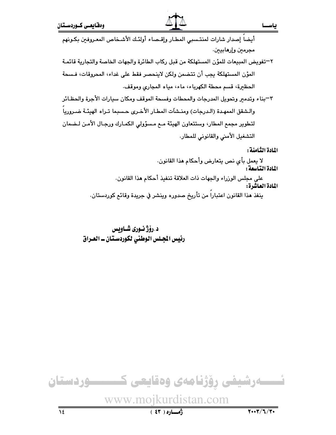٢–تفويض المبيعات للمؤن المستهلكة من قبل ركاب الطائرة والجهات الخاصة والتجارية قائمـة المؤن المستهلكة يجب أن تتضمن ولكن لاينحصر فقط على غداء، المحروقات، فسحة الحظيرة، قسم محطة الكهرباء، ماء، مياه المجارى وموقف.

٣–بناء وتدمير وتحويل المدرجات والمحطات وفسحة الموقف ومكان سيارات الأجرة والحظـائر والشقق الممهدة (الدرجات) ومنـشاَت المطـار الأخـرى حـسبما تـراه الهيئـة ضـرورياً لتطوير مجمع المطار، وستتعاون الهيئة مـع مـسؤولى الكمـارك ورجـال الأمـن لـضمان التشغيل الأمنى والقانوني للمطار.

المادة الثامنة :

لا يعمل بأي نص يتعارض وأحكام هذا القانون. المادة التاسعة : على مجلس الوزراء والجهات ذات العلاقة تنفيذ أحكام هذا القانون. المادة العاشرة: ينفذ هذا القانون اعتبارا من تأريخ صدوره وينشر في جريدة وقائع كوردستان.

## د .رۆژ نـوري شـاويس رئيس الجـلس الوطني لكوردسـتـان ــ العـراق